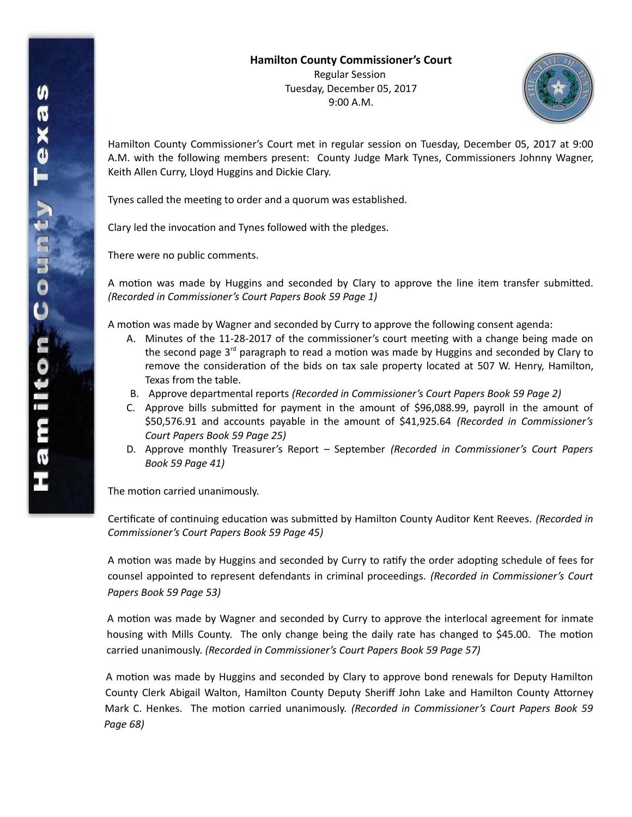

Hamilton County Commissioner's Court met in regular session on Tuesday, December 05, 2017 at 9:00 A.M. with the following members present: County Judge Mark Tynes, Commissioners Johnny Wagner, Keith Allen Curry, Lloyd Huggins and Dickie Clary.

Tynes called the meeting to order and a quorum was established.

Clary led the invocation and Tynes followed with the pledges.

There were no public comments.

A motion was made by Huggins and seconded by Clary to approve the line item transfer submitted. *(Recorded in Commissioner's Court Papers Book 59 Page 1)*

A motion was made by Wagner and seconded by Curry to approve the following consent agenda:

- A. Minutes of the 11-28-2017 of the commissioner's court meeting with a change being made on the second page 3<sup>rd</sup> paragraph to read a motion was made by Huggins and seconded by Clary to remove the consideration of the bids on tax sale property located at 507 W. Henry, Hamilton, Texas from the table.
- B. Approve departmental reports *(Recorded in Commissioner's Court Papers Book 59 Page 2)*
- C. Approve bills submitted for payment in the amount of \$96,088.99, payroll in the amount of \$50,576.91 and accounts payable in the amount of \$41,925.64 *(Recorded in Commissioner's Court Papers Book 59 Page 25)*
- D. Approve monthly Treasurer's Report September *(Recorded in Commissioner's Court Papers Book 59 Page 41)*

The motion carried unanimously.

Certificate of continuing education was submitted by Hamilton County Auditor Kent Reeves. *(Recorded in Commissioner's Court Papers Book 59 Page 45)*

A motion was made by Huggins and seconded by Curry to ratify the order adopting schedule of fees for counsel appointed to represent defendants in criminal proceedings. *(Recorded in Commissioner's Court Papers Book 59 Page 53)*

A motion was made by Wagner and seconded by Curry to approve the interlocal agreement for inmate housing with Mills County. The only change being the daily rate has changed to \$45.00. The motion carried unanimously. *(Recorded in Commissioner's Court Papers Book 59 Page 57)*

A motion was made by Huggins and seconded by Clary to approve bond renewals for Deputy Hamilton County Clerk Abigail Walton, Hamilton County Deputy Sheriff John Lake and Hamilton County Attorney Mark C. Henkes. The motion carried unanimously. *(Recorded in Commissioner's Court Papers Book 59 Page 68)*